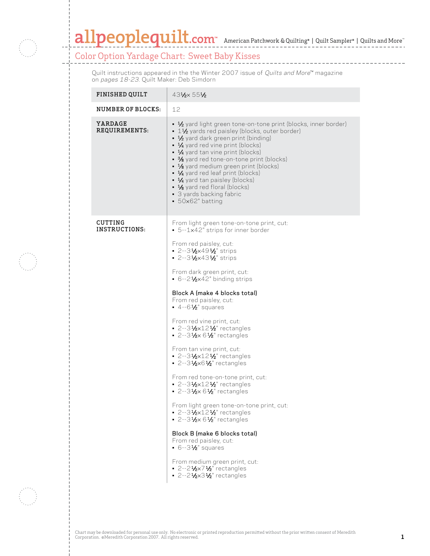

## $\textbf{all}$   $\textbf{people}$   $\textbf{uilt}$ .com<sup>™</sup> American Patchwork & Quilting® | Quilt Sampler® | Quilts and More

\_\_\_\_\_\_\_\_\_\_\_\_\_\_\_\_\_

## Color Option Yardage Chart: Sweet Baby Kisses

Quilt instructions appeared in the the Winter 2007 issue of Quilts and More™ magazine on pages 18-23. Quilt Maker: Deb Simdorn

| <b>FINISHED QUILT</b>    | 431/ <sub>2</sub> 551/ <sub>2</sub>                                                                                                                                                                                                                                                                                                                                                                                                                                                                                                                                                                                                                                                                                                                                                                                                                                                                                                                                                                                                                                                                                                                                  |
|--------------------------|----------------------------------------------------------------------------------------------------------------------------------------------------------------------------------------------------------------------------------------------------------------------------------------------------------------------------------------------------------------------------------------------------------------------------------------------------------------------------------------------------------------------------------------------------------------------------------------------------------------------------------------------------------------------------------------------------------------------------------------------------------------------------------------------------------------------------------------------------------------------------------------------------------------------------------------------------------------------------------------------------------------------------------------------------------------------------------------------------------------------------------------------------------------------|
| NUMBER OF BLOCKS:        | 12                                                                                                                                                                                                                                                                                                                                                                                                                                                                                                                                                                                                                                                                                                                                                                                                                                                                                                                                                                                                                                                                                                                                                                   |
| YARDAGE<br>REQUIREMENTS: | • 1/2 yard light green tone-on-tone print (blocks, inner border)<br>• 11/2 yards red paisley (blocks, outer border)<br>• 1/2 yard dark green print (binding)<br>• 1⁄4 yard red vine print (blocks)<br>• 1/4 yard tan vine print (blocks)<br>• 3% yard red tone-on-tone print (blocks)<br>• 1/8 yard medium green print (blocks)<br>• 1/4 yard red leaf print (blocks)<br>• 1/4 yard tan paisley (blocks)<br>$\bullet$ 1/8 yard red floral (blocks)<br>· 3 yards backing fabric<br>$-50\times62$ " batting                                                                                                                                                                                                                                                                                                                                                                                                                                                                                                                                                                                                                                                            |
| CUTTING<br>INSTRUCTIONS: | From light green tone-on-tone print, cut:<br>• 5--1x42" strips for inner border<br>From red paisley, cut:<br>$-2 - 3\frac{1}{2} \times 49\frac{1}{2}$ strips<br>$\cdot$ 2--31⁄2×431⁄2" strips<br>From dark green print, cut:<br>$-6 - 2\frac{1}{2} \times 42$ " binding strips<br>Block A (make 4 blocks total)<br>From red paisley, cut:<br>$-4-6\frac{1}{2}$ squares<br>From red vine print, cut:<br>$\cdot$ 2-31/2×121/2" rectangles<br>$\cdot$ 2-31/ <sub>2</sub> ×61/ <sub>2</sub> " rectangles<br>From tan vine print, cut:<br>$\blacksquare$ 2--31⁄2×121⁄2" rectangles<br>$-2 - 3\frac{1}{2} \times 6\frac{1}{2}$ rectangles<br>From red tone-on-tone print, cut:<br>$-2 - 3\frac{1}{2} \times 12\frac{1}{2}$ rectangles<br>$-2 - 3\frac{1}{2} \times 6\frac{1}{2}$ rectangles<br>From light green tone-on-tone print, cut:<br>$\cdot$ 2-31/2×121/2" rectangles<br>$-2 - 3\frac{1}{2} \times 6\frac{1}{2}$ rectangles<br>Block B (make 6 blocks total)<br>From red paisley, cut:<br>• $6 - 3\frac{1}{2}$ squares<br>From medium green print, cut:<br>$-2 - 2\frac{1}{2} \times 7\frac{1}{2}$ rectangles<br>$-2 - 2\frac{1}{2} \times 3\frac{1}{2}$ rectangles |

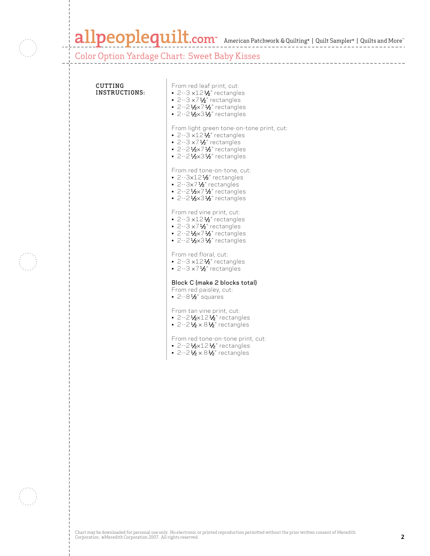

## allpeoplequilt.com<sup>™</sup> American Patchwork & Quilting® | Quilt Sampler® | Quilts and More™

\_\_\_\_\_\_\_\_\_\_\_\_\_\_\_\_\_\_\_\_\_\_

Color Option Yardage Chart: Sweet Baby Kisses

| CUTTING<br>INSTRUCTIONS: | From red leaf print, cut:<br>$\cdot$ 2--3 $\times$ 12 $\frac{1}{2}$ rectangles<br>■ 2--3 $\times$ 7 $1/2$ " rectangles<br>2--21/2×71/2" rectangles<br>$\cdot$ 2--21/ <sub>2</sub> ×31/ <sub>2</sub> " rectangles                                               |
|--------------------------|----------------------------------------------------------------------------------------------------------------------------------------------------------------------------------------------------------------------------------------------------------------|
|                          | From light green tone-on-tone print, cut:<br>$\cdot$ 2--3 $\times$ 12 $\frac{1}{2}$ " rectangles<br>■ 2--3 $\times$ 7 $1/2$ " rectangles<br>• 2--2 $\frac{1}{2} \times 7 \frac{1}{2}$ rectangles<br>$\cdot$ 2--21/ <sub>2</sub> ×31/ <sub>2</sub> " rectangles |
|                          | From red tone-on-tone, cut:<br>$\cdot$ 2--3x12 $\frac{1}{2}$ rectangles<br>$-2-3x7\frac{1}{2}$ rectangles<br>$-2 - 2\frac{1}{2} \times 7\frac{1}{2}$ rectangles<br>$\cdot$ 2--21/2×31/2" rectangles                                                            |
|                          | From red vine print, cut:<br>$\cdot$ 2--3 $\times$ 12½" rectangles<br>$\cdot$ 2--3 $\times$ 7 $\frac{1}{2}$ " rectangles<br>• 2--2 $\frac{1}{2} \times 7 \frac{1}{2}$ rectangles<br>$\cdot$ 2--21/ <sub>2</sub> ×31/ <sub>2</sub> " rectangles                 |
|                          | From red floral, cut:<br>$-2-3 \times 12\frac{1}{2}$ rectangles<br>$\cdot$ 2--3 $\times$ 7 $\frac{1}{2}$ " rectangles                                                                                                                                          |
|                          | Block C (make 2 blocks total)<br>From red paisley, cut:<br>$\cdot$ 2--8½" squares                                                                                                                                                                              |
|                          | From tan vine print, cut:<br>$\cdot$ 2--21/2×121/2" rectangles<br>• 2--2 $\frac{1}{2} \times 8\frac{1}{2}$ rectangles                                                                                                                                          |
|                          | From red tone-on-tone print, cut:<br>$\cdot$ 2--21/ <sub>2</sub> ×121/ <sub>2</sub> " rectangles<br>• 2--2 $\frac{1}{2} \times 8\frac{1}{2}$ rectangles                                                                                                        |